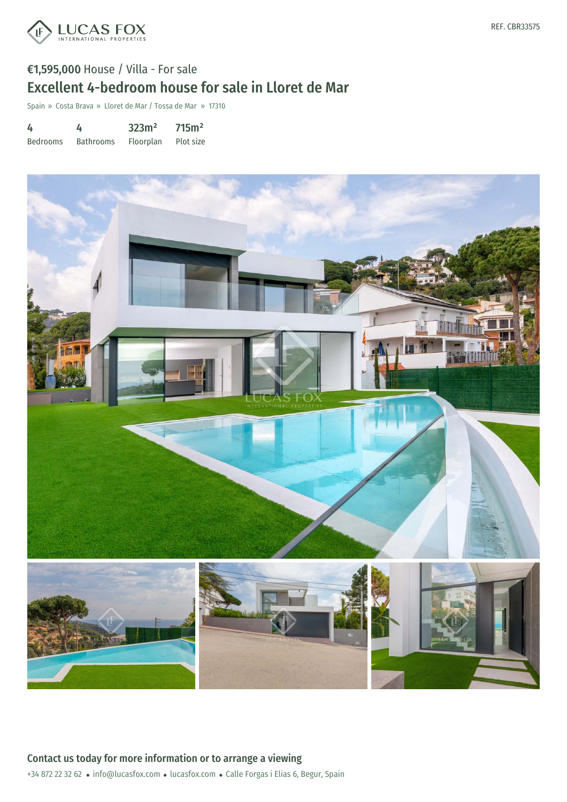

## €1,595,000 House / Villa - For sale Excellent 4-bedroom house for sale in Lloret de Mar

Spain » Costa Brava » Lloret de Mar / Tossa de Mar » 17310

| 4               | 4                | 323m <sup>2</sup> | 715m <sup>2</sup> |
|-----------------|------------------|-------------------|-------------------|
| <b>Bedrooms</b> | <b>Bathrooms</b> | Floorplan         | Plot size         |



REF. CBR33575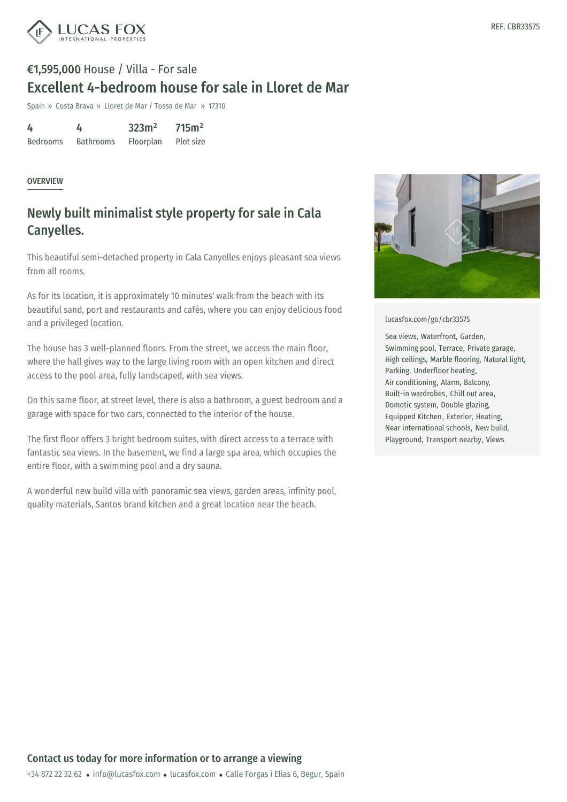

# €1,595,000 House / Villa - For sale Excellent 4-bedroom house for sale in Lloret de Mar

Spain » Costa Brava » Lloret de Mar / Tossa de Mar » 17310

| 4               | 4                | 323m <sup>2</sup> | 715m <sup>2</sup> |
|-----------------|------------------|-------------------|-------------------|
| <b>Bedrooms</b> | <b>Bathrooms</b> | Floorplan         | Plot size         |

### OVERVIEW

### Newly built minimalist style property for sale in Cala Canyelles.

This beautiful semi-detached property in Cala Canyelles enjoys pleasant sea views from all rooms.

As for its location, it is approximately 10 minutes' walk from the beach with its beautiful sand, port and restaurants and cafés, where you can enjoy delicious food and a privileged location.

The house has 3 well-planned floors. From the street, we access the main floor, where the hall gives way to the large living room with an open kitchen and direct access to the pool area, fully landscaped, with sea views.

On this same floor, at street level, there is also a bathroom, a guest bedroom and a garage with space for two cars, connected to the interior of the house.

The first floor offers 3 bright bedroom suites, with direct access to a terrace with fantastic sea views. In the basement, we find a large spa area, which occupies the entire floor, with a swimming pool and a dry sauna.

A wonderful new build villa with panoramic sea views, garden areas, infinity pool, quality materials, Santos brand kitchen and a great location near the beach.



### [lucasfox.com/go/cbr33575](https://www.lucasfox.com/go/cbr33575)

Sea views, Waterfront, Garden, Swimming pool, Terrace, Private garage, High ceilings, Marble flooring, Natural light, Parking, Underfloor heating, Air conditioning, Alarm, Balcony, Built-in wardrobes, Chill out area, Domotic system, Double glazing, Equipped Kitchen, Exterior, Heating, Near international schools, New build, Playground, Transport nearby, Views